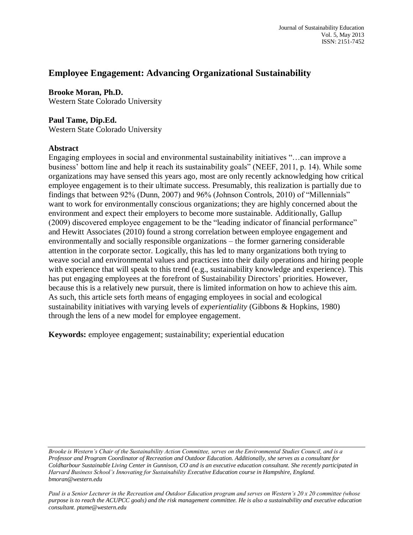# **Employee Engagement: Advancing Organizational Sustainability**

**Brooke Moran, Ph.D.** Western State Colorado University

### **Paul Tame, Dip.Ed.**

Western State Colorado University

#### **Abstract**

Engaging employees in social and environmental sustainability initiatives "…can improve a business' bottom line and help it reach its sustainability goals" (NEEF, 2011, p. 14). While some organizations may have sensed this years ago, most are only recently acknowledging how critical employee engagement is to their ultimate success. Presumably, this realization is partially due to findings that between 92% (Dunn, 2007) and 96% (Johnson Controls, 2010) of "Millennials" want to work for environmentally conscious organizations; they are highly concerned about the environment and expect their employers to become more sustainable. Additionally, Gallup (2009) discovered employee engagement to be the "leading indicator of financial performance" and Hewitt Associates (2010) found a strong correlation between employee engagement and environmentally and socially responsible organizations – the former garnering considerable attention in the corporate sector. Logically, this has led to many organizations both trying to weave social and environmental values and practices into their daily operations and hiring people with experience that will speak to this trend (e.g., sustainability knowledge and experience). This has put engaging employees at the forefront of Sustainability Directors' priorities. However, because this is a relatively new pursuit, there is limited information on how to achieve this aim. As such, this article sets forth means of engaging employees in social and ecological sustainability initiatives with varying levels of *experientiality* (Gibbons & Hopkins, 1980) through the lens of a new model for employee engagement.

**Keywords:** employee engagement; sustainability; experiential education

*Paul is a Senior Lecturer in the Recreation and Outdoor Education program and serves on Western's 20 x 20 committee (whose purpose is to reach the ACUPCC goals) and the risk management committee. He is also a sustainability and executive education consultant. ptame@western.edu*

*Brooke is Western's Chair of the Sustainability Action Committee, serves on the Environmental Studies Council, and is a Professor and Program Coordinator of Recreation and Outdoor Education. Additionally, she serves as a consultant for Coldharbour Sustainable Living Center in Gunnison, CO and is an executive education consultant. She recently participated in Harvard Business School's Innovating for Sustainability Executive Education course in Hampshire, England. bmoran@western.edu*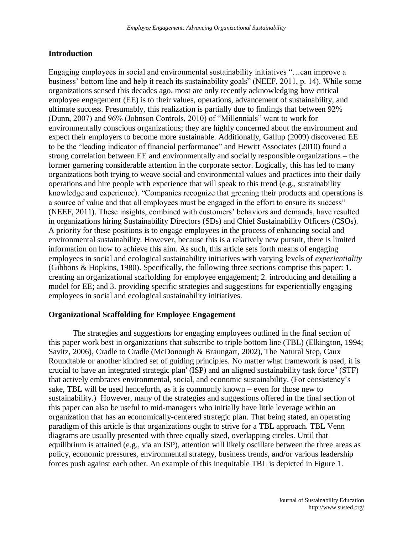## **Introduction**

Engaging employees in social and environmental sustainability initiatives "…can improve a business' bottom line and help it reach its sustainability goals" (NEEF, 2011, p. 14). While some organizations sensed this decades ago, most are only recently acknowledging how critical employee engagement (EE) is to their values, operations, advancement of sustainability, and ultimate success. Presumably, this realization is partially due to findings that between 92% (Dunn, 2007) and 96% (Johnson Controls, 2010) of "Millennials" want to work for environmentally conscious organizations; they are highly concerned about the environment and expect their employers to become more sustainable. Additionally, Gallup (2009) discovered EE to be the "leading indicator of financial performance" and Hewitt Associates (2010) found a strong correlation between EE and environmentally and socially responsible organizations – the former garnering considerable attention in the corporate sector. Logically, this has led to many organizations both trying to weave social and environmental values and practices into their daily operations and hire people with experience that will speak to this trend (e.g., sustainability knowledge and experience). "Companies recognize that greening their products and operations is a source of value and that all employees must be engaged in the effort to ensure its success" (NEEF, 2011). These insights, combined with customers' behaviors and demands, have resulted in organizations hiring Sustainability Directors (SDs) and Chief Sustainability Officers (CSOs). A priority for these positions is to engage employees in the process of enhancing social and environmental sustainability. However, because this is a relatively new pursuit, there is limited information on how to achieve this aim. As such, this article sets forth means of engaging employees in social and ecological sustainability initiatives with varying levels of *experientiality* (Gibbons & Hopkins, 1980). Specifically, the following three sections comprise this paper: 1. creating an organizational scaffolding for employee engagement; 2. introducing and detailing a model for EE; and 3. providing specific strategies and suggestions for experientially engaging employees in social and ecological sustainability initiatives.

#### **Organizational Scaffolding for Employee Engagement**

The strategies and suggestions for engaging employees outlined in the final section of this paper work best in organizations that subscribe to triple bottom line (TBL) (Elkington, 1994; Savitz, 2006), Cradle to Cradle (McDonough & Braungart, 2002), The Natural Step, Caux Roundtable or another kindred set of guiding principles. No matter what framework is used, it is crucial to have an integrated strategic plan<sup>i</sup> (ISP) and an aligned sustainability task force<sup>ii</sup> (STF) that actively embraces environmental, social, and economic sustainability. (For consistency's sake, TBL will be used henceforth, as it is commonly known – even for those new to sustainability.) However, many of the strategies and suggestions offered in the final section of this paper can also be useful to mid-managers who initially have little leverage within an organization that has an economically-centered strategic plan. That being stated, an operating paradigm of this article is that organizations ought to strive for a TBL approach. TBL Venn diagrams are usually presented with three equally sized, overlapping circles. Until that equilibrium is attained (e.g., via an ISP), attention will likely oscillate between the three areas as policy, economic pressures, environmental strategy, business trends, and/or various leadership forces push against each other. An example of this inequitable TBL is depicted in Figure 1.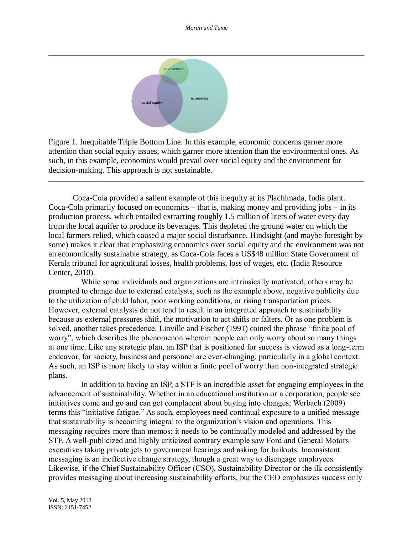

Figure 1. Inequitable Triple Bottom Line. In this example, economic concerns garner more attention than social equity issues, which garner more attention than the environmental ones. As such, in this example, economics would prevail over social equity and the environment for decision-making. This approach is not sustainable.

Coca-Cola provided a salient example of this inequity at its Plachimada, India plant. Coca-Cola primarily focused on economics – that is, making money and providing jobs – in its production process, which entailed extracting roughly 1.5 million of liters of water every day from the local aquifer to produce its beverages. This depleted the ground water on which the local farmers relied, which caused a major social disturbance. Hindsight (and maybe foresight by some) makes it clear that emphasizing economics over social equity and the environment was not an economically sustainable strategy, as Coca-Cola faces a US\$48 million State Government of Kerala tribunal for agricultural losses, health problems, loss of wages, etc. (India Resource Center, 2010).

While some individuals and organizations are intrinsically motivated, others may be prompted to change due to external catalysts, such as the example above, negative publicity due to the utilization of child labor, poor working conditions, or rising transportation prices. However, external catalysts do not tend to result in an integrated approach to sustainability because as external pressures shift, the motivation to act shifts or falters. Or as one problem is solved, another takes precedence. Linville and Fischer (1991) coined the phrase "finite pool of worry", which describes the phenomenon wherein people can only worry about so many things at one time. Like any strategic plan, an ISP that is positioned for success is viewed as a long-term endeavor, for society, business and personnel are ever-changing, particularly in a global context. As such, an ISP is more likely to stay within a finite pool of worry than non-integrated strategic plans.

In addition to having an ISP, a STF is an incredible asset for engaging employees in the advancement of sustainability. Whether in an educational institution or a corporation, people see initiatives come and go and can get complacent about buying into changes; Werbach (2009) terms this "initiative fatigue." As such, employees need continual exposure to a unified message that sustainability is becoming integral to the organization's vision and operations. This messaging requires more than memos; it needs to be continually modeled and addressed by the STF. A well-publicized and highly criticized contrary example saw Ford and General Motors executives taking private jets to government hearings and asking for bailouts. Inconsistent messaging is an ineffective change strategy, though a great way to disengage employees. Likewise, if the Chief Sustainability Officer (CSO), Sustainability Director or the ilk consistently provides messaging about increasing sustainability efforts, but the CEO emphasizes success only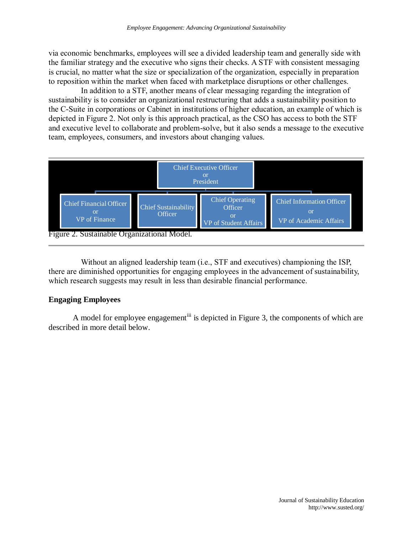via economic benchmarks, employees will see a divided leadership team and generally side with the familiar strategy and the executive who signs their checks. A STF with consistent messaging is crucial, no matter what the size or specialization of the organization, especially in preparation to reposition within the market when faced with marketplace disruptions or other challenges.

In addition to a STF, another means of clear messaging regarding the integration of sustainability is to consider an organizational restructuring that adds a sustainability position to the C-Suite in corporations or Cabinet in institutions of higher education, an example of which is depicted in Figure 2. Not only is this approach practical, as the CSO has access to both the STF and executive level to collaborate and problem-solve, but it also sends a message to the executive team, employees, consumers, and investors about changing values.



Without an aligned leadership team (i.e., STF and executives) championing the ISP, there are diminished opportunities for engaging employees in the advancement of sustainability, which research suggests may result in less than desirable financial performance.

#### **Engaging Employees**

A model for employee engagement<sup>iii</sup> is depicted in Figure 3, the components of which are described in more detail below.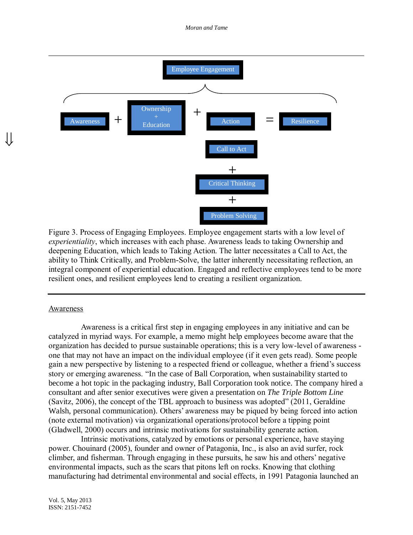*Moran and Tame*



Figure 3. Process of Engaging Employees. Employee engagement starts with a low level of *experientiality*, which increases with each phase. Awareness leads to taking Ownership and deepening Education, which leads to Taking Action. The latter necessitates a Call to Act, the ability to Think Critically, and Problem-Solve, the latter inherently necessitating reflection, an integral component of experiential education. Engaged and reflective employees tend to be more resilient ones, and resilient employees lend to creating a resilient organization.

#### Awareness

JI

Awareness is a critical first step in engaging employees in any initiative and can be catalyzed in myriad ways. For example, a memo might help employees become aware that the organization has decided to pursue sustainable operations; this is a very low-level of awareness one that may not have an impact on the individual employee (if it even gets read). Some people gain a new perspective by listening to a respected friend or colleague, whether a friend's success story or emerging awareness. "In the case of Ball Corporation, when sustainability started to become a hot topic in the packaging industry, Ball Corporation took notice. The company hired a consultant and after senior executives were given a presentation on *The Triple Bottom Line* (Savitz, 2006), the concept of the TBL approach to business was adopted" (2011, Geraldine Walsh, personal communication). Others' awareness may be piqued by being forced into action (note external motivation) via organizational operations/protocol before a tipping point (Gladwell, 2000) occurs and intrinsic motivations for sustainability generate action.

Intrinsic motivations, catalyzed by emotions or personal experience, have staying power. Chouinard (2005), founder and owner of Patagonia, Inc., is also an avid surfer, rock climber, and fisherman. Through engaging in these pursuits, he saw his and others' negative environmental impacts, such as the scars that pitons left on rocks. Knowing that clothing manufacturing had detrimental environmental and social effects, in 1991 Patagonia launched an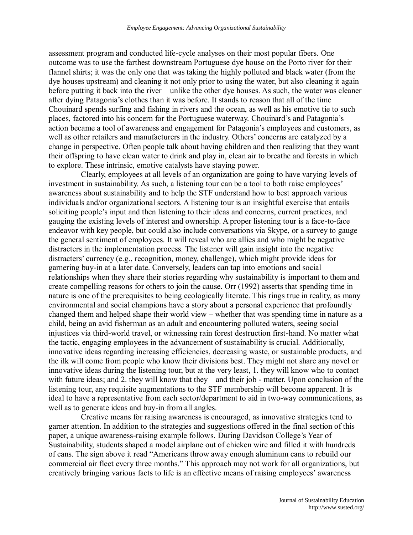assessment program and conducted life-cycle analyses on their most popular fibers. One outcome was to use the farthest downstream Portuguese dye house on the Porto river for their flannel shirts; it was the only one that was taking the highly polluted and black water (from the dye houses upstream) and cleaning it not only prior to using the water, but also cleaning it again before putting it back into the river – unlike the other dye houses. As such, the water was cleaner after dying Patagonia's clothes than it was before. It stands to reason that all of the time Chouinard spends surfing and fishing in rivers and the ocean, as well as his emotive tie to such places, factored into his concern for the Portuguese waterway. Chouinard's and Patagonia's action became a tool of awareness and engagement for Patagonia's employees and customers, as well as other retailers and manufacturers in the industry. Others' concerns are catalyzed by a change in perspective. Often people talk about having children and then realizing that they want their offspring to have clean water to drink and play in, clean air to breathe and forests in which to explore. These intrinsic, emotive catalysts have staying power.

Clearly, employees at all levels of an organization are going to have varying levels of investment in sustainability. As such, a listening tour can be a tool to both raise employees' awareness about sustainability and to help the STF understand how to best approach various individuals and/or organizational sectors. A listening tour is an insightful exercise that entails soliciting people's input and then listening to their ideas and concerns, current practices, and gauging the existing levels of interest and ownership. A proper listening tour is a face-to-face endeavor with key people, but could also include conversations via Skype, or a survey to gauge the general sentiment of employees. It will reveal who are allies and who might be negative distracters in the implementation process. The listener will gain insight into the negative distracters' currency (e.g., recognition, money, challenge), which might provide ideas for garnering buy-in at a later date. Conversely, leaders can tap into emotions and social relationships when they share their stories regarding why sustainability is important to them and create compelling reasons for others to join the cause. Orr (1992) asserts that spending time in nature is one of the prerequisites to being ecologically literate. This rings true in reality, as many environmental and social champions have a story about a personal experience that profoundly changed them and helped shape their world view – whether that was spending time in nature as a child, being an avid fisherman as an adult and encountering polluted waters, seeing social injustices via third-world travel, or witnessing rain forest destruction first-hand. No matter what the tactic, engaging employees in the advancement of sustainability is crucial. Additionally, innovative ideas regarding increasing efficiencies, decreasing waste, or sustainable products, and the ilk will come from people who know their divisions best. They might not share any novel or innovative ideas during the listening tour, but at the very least, 1. they will know who to contact with future ideas; and 2. they will know that they – and their job - matter. Upon conclusion of the listening tour, any requisite augmentations to the STF membership will become apparent. It is ideal to have a representative from each sector/department to aid in two-way communications, as well as to generate ideas and buy-in from all angles.

Creative means for raising awareness is encouraged, as innovative strategies tend to garner attention. In addition to the strategies and suggestions offered in the final section of this paper, a unique awareness-raising example follows. During Davidson College's Year of Sustainability, students shaped a model airplane out of chicken wire and filled it with hundreds of cans. The sign above it read "Americans throw away enough aluminum cans to rebuild our commercial air fleet every three months." This approach may not work for all organizations, but creatively bringing various facts to life is an effective means of raising employees' awareness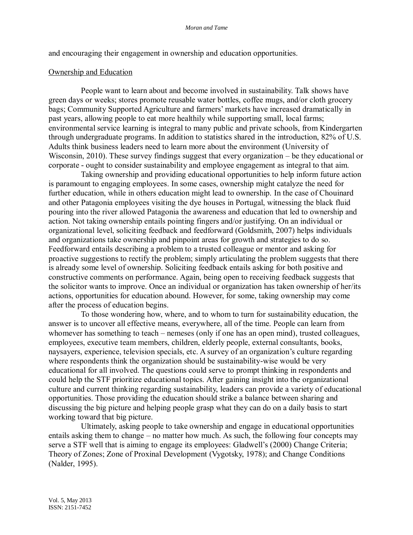and encouraging their engagement in ownership and education opportunities.

#### Ownership and Education

People want to learn about and become involved in sustainability. Talk shows have green days or weeks; stores promote reusable water bottles, coffee mugs, and/or cloth grocery bags; Community Supported Agriculture and farmers' markets have increased dramatically in past years, allowing people to eat more healthily while supporting small, local farms; environmental service learning is integral to many public and private schools, from Kindergarten through undergraduate programs. In addition to statistics shared in the introduction, 82% of U.S. Adults think business leaders need to learn more about the environment (University of Wisconsin, 2010). These survey findings suggest that every organization – be they educational or corporate - ought to consider sustainability and employee engagement as integral to that aim.

Taking ownership and providing educational opportunities to help inform future action is paramount to engaging employees. In some cases, ownership might catalyze the need for further education, while in others education might lead to ownership. In the case of Chouinard and other Patagonia employees visiting the dye houses in Portugal, witnessing the black fluid pouring into the river allowed Patagonia the awareness and education that led to ownership and action. Not taking ownership entails pointing fingers and/or justifying. On an individual or organizational level, soliciting feedback and feedforward (Goldsmith, 2007) helps individuals and organizations take ownership and pinpoint areas for growth and strategies to do so. Feedforward entails describing a problem to a trusted colleague or mentor and asking for proactive suggestions to rectify the problem; simply articulating the problem suggests that there is already some level of ownership. Soliciting feedback entails asking for both positive and constructive comments on performance. Again, being open to receiving feedback suggests that the solicitor wants to improve. Once an individual or organization has taken ownership of her/its actions, opportunities for education abound. However, for some, taking ownership may come after the process of education begins.

To those wondering how, where, and to whom to turn for sustainability education, the answer is to uncover all effective means, everywhere, all of the time. People can learn from whomever has something to teach – nemeses (only if one has an open mind), trusted colleagues, employees, executive team members, children, elderly people, external consultants, books, naysayers, experience, television specials, etc. A survey of an organization's culture regarding where respondents think the organization should be sustainability-wise would be very educational for all involved. The questions could serve to prompt thinking in respondents and could help the STF prioritize educational topics. After gaining insight into the organizational culture and current thinking regarding sustainability, leaders can provide a variety of educational opportunities. Those providing the education should strike a balance between sharing and discussing the big picture and helping people grasp what they can do on a daily basis to start working toward that big picture.

Ultimately, asking people to take ownership and engage in educational opportunities entails asking them to change – no matter how much. As such, the following four concepts may serve a STF well that is aiming to engage its employees: Gladwell's (2000) Change Criteria; Theory of Zones; Zone of Proxinal Development (Vygotsky, 1978); and Change Conditions (Nalder, 1995).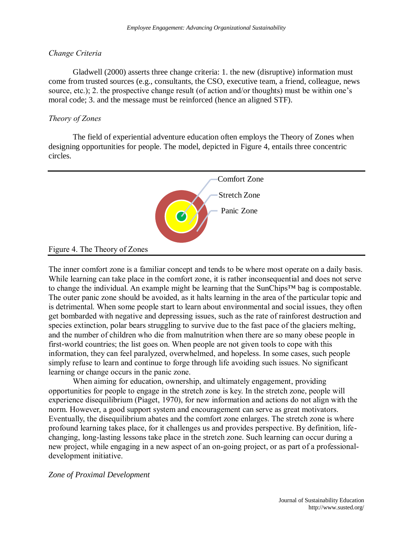#### *Change Criteria*

Gladwell (2000) asserts three change criteria: 1. the new (disruptive) information must come from trusted sources (e.g., consultants, the CSO, executive team, a friend, colleague, news source, etc.); 2. the prospective change result (of action and/or thoughts) must be within one's moral code; 3. and the message must be reinforced (hence an aligned STF).

#### *Theory of Zones*

The field of experiential adventure education often employs the Theory of Zones when designing opportunities for people. The model, depicted in Figure 4, entails three concentric circles.



The inner comfort zone is a familiar concept and tends to be where most operate on a daily basis. While learning can take place in the comfort zone, it is rather inconsequential and does not serve to change the individual. An example might be learning that the SunChips™ bag is compostable. The outer panic zone should be avoided, as it halts learning in the area of the particular topic and is detrimental. When some people start to learn about environmental and social issues, they often get bombarded with negative and depressing issues, such as the rate of rainforest destruction and species extinction, polar bears struggling to survive due to the fast pace of the glaciers melting, and the number of children who die from malnutrition when there are so many obese people in first-world countries; the list goes on. When people are not given tools to cope with this information, they can feel paralyzed, overwhelmed, and hopeless. In some cases, such people simply refuse to learn and continue to forge through life avoiding such issues. No significant learning or change occurs in the panic zone.

When aiming for education, ownership, and ultimately engagement, providing opportunities for people to engage in the stretch zone is key. In the stretch zone, people will experience disequilibrium (Piaget, 1970), for new information and actions do not align with the norm. However, a good support system and encouragement can serve as great motivators. Eventually, the disequilibrium abates and the comfort zone enlarges. The stretch zone is where profound learning takes place, for it challenges us and provides perspective. By definition, lifechanging, long-lasting lessons take place in the stretch zone. Such learning can occur during a new project, while engaging in a new aspect of an on-going project, or as part of a professionaldevelopment initiative.

*Zone of Proximal Development*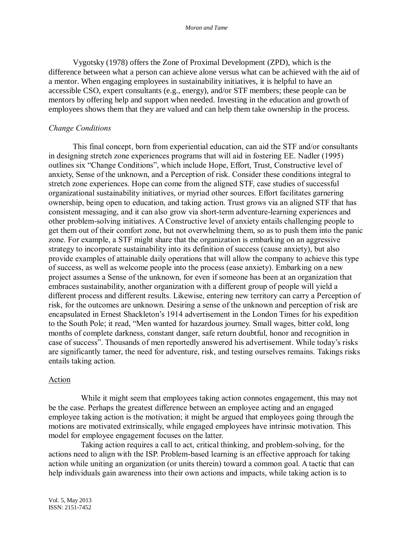Vygotsky (1978) offers the Zone of Proximal Development (ZPD), which is the difference between what a person can achieve alone versus what can be achieved with the aid of a mentor. When engaging employees in sustainability initiatives, it is helpful to have an accessible CSO, expert consultants (e.g., energy), and/or STF members; these people can be mentors by offering help and support when needed. Investing in the education and growth of employees shows them that they are valued and can help them take ownership in the process.

#### *Change Conditions*

This final concept, born from experiential education, can aid the STF and/or consultants in designing stretch zone experiences programs that will aid in fostering EE. Nadler (1995) outlines six "Change Conditions", which include Hope, Effort, Trust, Constructive level of anxiety, Sense of the unknown, and a Perception of risk. Consider these conditions integral to stretch zone experiences. Hope can come from the aligned STF, case studies of successful organizational sustainability initiatives, or myriad other sources. Effort facilitates garnering ownership, being open to education, and taking action. Trust grows via an aligned STF that has consistent messaging, and it can also grow via short-term adventure-learning experiences and other problem-solving initiatives. A Constructive level of anxiety entails challenging people to get them out of their comfort zone, but not overwhelming them, so as to push them into the panic zone. For example, a STF might share that the organization is embarking on an aggressive strategy to incorporate sustainability into its definition of success (cause anxiety), but also provide examples of attainable daily operations that will allow the company to achieve this type of success, as well as welcome people into the process (ease anxiety). Embarking on a new project assumes a Sense of the unknown, for even if someone has been at an organization that embraces sustainability, another organization with a different group of people will yield a different process and different results. Likewise, entering new territory can carry a Perception of risk, for the outcomes are unknown. Desiring a sense of the unknown and perception of risk are encapsulated in Ernest Shackleton's 1914 advertisement in the London Times for his expedition to the South Pole; it read, "Men wanted for hazardous journey. Small wages, bitter cold, long months of complete darkness, constant danger, safe return doubtful, honor and recognition in case of success". Thousands of men reportedly answered his advertisement. While today's risks are significantly tamer, the need for adventure, risk, and testing ourselves remains. Takings risks entails taking action.

#### Action

While it might seem that employees taking action connotes engagement, this may not be the case. Perhaps the greatest difference between an employee acting and an engaged employee taking action is the motivation; it might be argued that employees going through the motions are motivated extrinsically, while engaged employees have intrinsic motivation. This model for employee engagement focuses on the latter.

Taking action requires a call to act, critical thinking, and problem-solving, for the actions need to align with the ISP. Problem-based learning is an effective approach for taking action while uniting an organization (or units therein) toward a common goal. A tactic that can help individuals gain awareness into their own actions and impacts, while taking action is to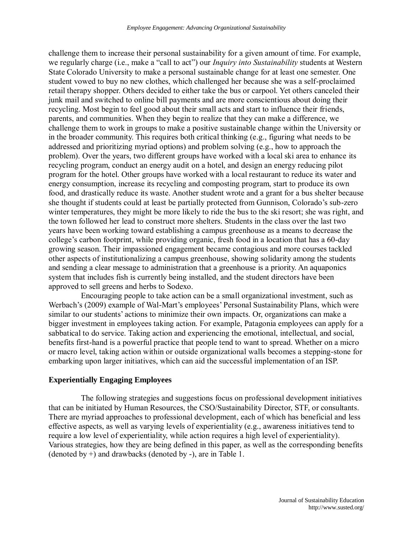challenge them to increase their personal sustainability for a given amount of time. For example, we regularly charge (i.e., make a "call to act") our *Inquiry into Sustainability* students at Western State Colorado University to make a personal sustainable change for at least one semester. One student vowed to buy no new clothes, which challenged her because she was a self-proclaimed retail therapy shopper. Others decided to either take the bus or carpool. Yet others canceled their junk mail and switched to online bill payments and are more conscientious about doing their recycling. Most begin to feel good about their small acts and start to influence their friends, parents, and communities. When they begin to realize that they can make a difference, we challenge them to work in groups to make a positive sustainable change within the University or in the broader community. This requires both critical thinking (e.g., figuring what needs to be addressed and prioritizing myriad options) and problem solving (e.g., how to approach the problem). Over the years, two different groups have worked with a local ski area to enhance its recycling program, conduct an energy audit on a hotel, and design an energy reducing pilot program for the hotel. Other groups have worked with a local restaurant to reduce its water and energy consumption, increase its recycling and composting program, start to produce its own food, and drastically reduce its waste. Another student wrote and a grant for a bus shelter because she thought if students could at least be partially protected from Gunnison, Colorado's sub-zero winter temperatures, they might be more likely to ride the bus to the ski resort; she was right, and the town followed her lead to construct more shelters. Students in the class over the last two years have been working toward establishing a campus greenhouse as a means to decrease the college's carbon footprint, while providing organic, fresh food in a location that has a 60-day growing season. Their impassioned engagement became contagious and more courses tackled other aspects of institutionalizing a campus greenhouse, showing solidarity among the students and sending a clear message to administration that a greenhouse is a priority. An aquaponics system that includes fish is currently being installed, and the student directors have been approved to sell greens and herbs to Sodexo.

Encouraging people to take action can be a small organizational investment, such as Werbach's (2009) example of Wal-Mart's employees' Personal Sustainability Plans, which were similar to our students' actions to minimize their own impacts. Or, organizations can make a bigger investment in employees taking action. For example, Patagonia employees can apply for a sabbatical to do service. Taking action and experiencing the emotional, intellectual, and social, benefits first-hand is a powerful practice that people tend to want to spread. Whether on a micro or macro level, taking action within or outside organizational walls becomes a stepping-stone for embarking upon larger initiatives, which can aid the successful implementation of an ISP.

#### **Experientially Engaging Employees**

The following strategies and suggestions focus on professional development initiatives that can be initiated by Human Resources, the CSO/Sustainability Director, STF, or consultants. There are myriad approaches to professional development, each of which has beneficial and less effective aspects, as well as varying levels of experientiality (e.g., awareness initiatives tend to require a low level of experientiality, while action requires a high level of experientiality). Various strategies, how they are being defined in this paper, as well as the corresponding benefits (denoted by +) and drawbacks (denoted by -), are in Table 1.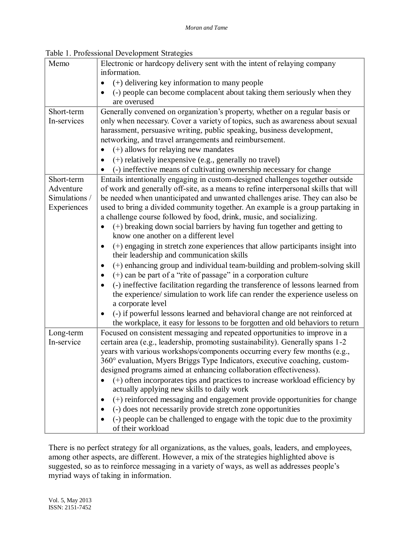| Table 1. Professional Development Strategies |  |
|----------------------------------------------|--|
|----------------------------------------------|--|

| Memo          | Electronic or hardcopy delivery sent with the intent of relaying company                   |
|---------------|--------------------------------------------------------------------------------------------|
|               | information.                                                                               |
|               | (+) delivering key information to many people                                              |
|               | (-) people can become complacent about taking them seriously when they<br>are overused     |
| Short-term    | Generally convened on organization's property, whether on a regular basis or               |
| In-services   | only when necessary. Cover a variety of topics, such as awareness about sexual             |
|               | harassment, persuasive writing, public speaking, business development,                     |
|               | networking, and travel arrangements and reimbursement.                                     |
|               | $(+)$ allows for relaying new mandates                                                     |
|               | (+) relatively inexpensive (e.g., generally no travel)                                     |
|               | (-) ineffective means of cultivating ownership necessary for change                        |
| Short-term    | Entails intentionally engaging in custom-designed challenges together outside              |
| Adventure     | of work and generally off-site, as a means to refine interpersonal skills that will        |
| Simulations / | be needed when unanticipated and unwanted challenges arise. They can also be               |
| Experiences   | used to bring a divided community together. An example is a group partaking in             |
|               | a challenge course followed by food, drink, music, and socializing.                        |
|               | (+) breaking down social barriers by having fun together and getting to                    |
|               | know one another on a different level                                                      |
|               | (+) engaging in stretch zone experiences that allow participants insight into<br>$\bullet$ |
|               | their leadership and communication skills                                                  |
|               | (+) enhancing group and individual team-building and problem-solving skill<br>٠            |
|               | $(+)$ can be part of a "rite of passage" in a corporation culture<br>٠                     |
|               | (-) ineffective facilitation regarding the transference of lessons learned from            |
|               | the experience/ simulation to work life can render the experience useless on               |
|               | a corporate level                                                                          |
|               | (-) if powerful lessons learned and behavioral change are not reinforced at                |
|               | the workplace, it easy for lessons to be forgotten and old behaviors to return             |
| Long-term     | Focused on consistent messaging and repeated opportunities to improve in a                 |
| In-service    | certain area (e.g., leadership, promoting sustainability). Generally spans 1-2             |
|               | years with various workshops/components occurring every few months (e.g.,                  |
|               | 360° evaluation, Myers Briggs Type Indicators, executive coaching, custom-                 |
|               | designed programs aimed at enhancing collaboration effectiveness).                         |
|               | (+) often incorporates tips and practices to increase workload efficiency by               |
|               | actually applying new skills to daily work                                                 |
|               | (+) reinforced messaging and engagement provide opportunities for change<br>٠              |
|               | (-) does not necessarily provide stretch zone opportunities<br>$\bullet$                   |
|               | (-) people can be challenged to engage with the topic due to the proximity                 |
|               | of their workload                                                                          |

There is no perfect strategy for all organizations, as the values, goals, leaders, and employees, among other aspects, are different. However, a mix of the strategies highlighted above is suggested, so as to reinforce messaging in a variety of ways, as well as addresses people's myriad ways of taking in information.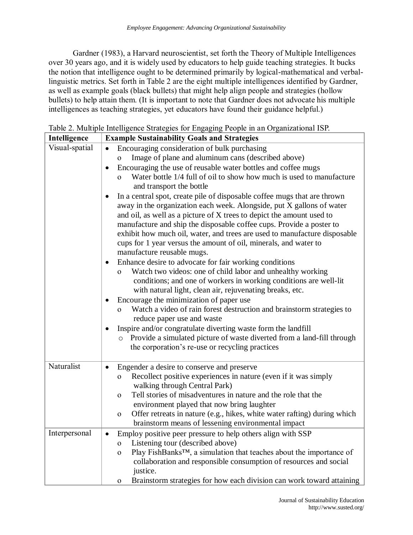Gardner (1983), a Harvard neuroscientist, set forth the Theory of Multiple Intelligences over 30 years ago, and it is widely used by educators to help guide teaching strategies. It bucks the notion that intelligence ought to be determined primarily by logical-mathematical and verballinguistic metrics. Set forth in Table 2 are the eight multiple intelligences identified by Gardner, as well as example goals (black bullets) that might help align people and strategies (hollow bullets) to help attain them. (It is important to note that Gardner does not advocate his multiple intelligences as teaching strategies, yet educators have found their guidance helpful.)

| Intelligence   | <b>Example Sustainability Goals and Strategies</b>                                                                                                                                                                                                                                                                                                                                                                                                                                                                                                                                                                                                                                                                                                                                                                                                                                                                                                                                                                                                                                                                                                                                                                                                                                                                                                                                                                                                |
|----------------|---------------------------------------------------------------------------------------------------------------------------------------------------------------------------------------------------------------------------------------------------------------------------------------------------------------------------------------------------------------------------------------------------------------------------------------------------------------------------------------------------------------------------------------------------------------------------------------------------------------------------------------------------------------------------------------------------------------------------------------------------------------------------------------------------------------------------------------------------------------------------------------------------------------------------------------------------------------------------------------------------------------------------------------------------------------------------------------------------------------------------------------------------------------------------------------------------------------------------------------------------------------------------------------------------------------------------------------------------------------------------------------------------------------------------------------------------|
| Visual-spatial | Encouraging consideration of bulk purchasing<br>Image of plane and aluminum cans (described above)<br>$\mathbf{O}$<br>Encouraging the use of reusable water bottles and coffee mugs<br>$\bullet$<br>Water bottle 1/4 full of oil to show how much is used to manufacture<br>$\Omega$<br>and transport the bottle<br>In a central spot, create pile of disposable coffee mugs that are thrown<br>away in the organization each week. Alongside, put X gallons of water<br>and oil, as well as a picture of X trees to depict the amount used to<br>manufacture and ship the disposable coffee cups. Provide a poster to<br>exhibit how much oil, water, and trees are used to manufacture disposable<br>cups for 1 year versus the amount of oil, minerals, and water to<br>manufacture reusable mugs.<br>Enhance desire to advocate for fair working conditions<br>Watch two videos: one of child labor and unhealthy working<br>$\Omega$<br>conditions; and one of workers in working conditions are well-lit<br>with natural light, clean air, rejuvenating breaks, etc.<br>Encourage the minimization of paper use<br>Watch a video of rain forest destruction and brainstorm strategies to<br>$\Omega$<br>reduce paper use and waste<br>Inspire and/or congratulate diverting waste form the landfill<br>Provide a simulated picture of waste diverted from a land-fill through<br>$\circ$<br>the corporation's re-use or recycling practices |
| Naturalist     | Engender a desire to conserve and preserve<br>$\bullet$<br>Recollect positive experiences in nature (even if it was simply<br>$\mathbf{O}$<br>walking through Central Park)<br>Tell stories of misadventures in nature and the role that the<br>$\mathbf{O}$<br>environment played that now bring laughter<br>Offer retreats in nature (e.g., hikes, white water rafting) during which<br>$\mathbf 0$<br>brainstorm means of lessening environmental impact                                                                                                                                                                                                                                                                                                                                                                                                                                                                                                                                                                                                                                                                                                                                                                                                                                                                                                                                                                                       |
| Interpersonal  | Employ positive peer pressure to help others align with SSP<br>Listening tour (described above)<br>0<br>Play FishBanks™, a simulation that teaches about the importance of<br>$\Omega$<br>collaboration and responsible consumption of resources and social<br>justice.<br>Brainstorm strategies for how each division can work toward attaining<br>0                                                                                                                                                                                                                                                                                                                                                                                                                                                                                                                                                                                                                                                                                                                                                                                                                                                                                                                                                                                                                                                                                             |

Table 2. Multiple Intelligence Strategies for Engaging People in an Organizational ISP.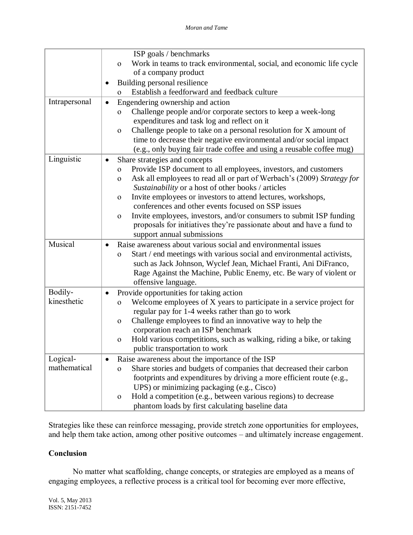|               | ISP goals / benchmarks                                                                 |
|---------------|----------------------------------------------------------------------------------------|
|               | Work in teams to track environmental, social, and economic life cycle<br>$\mathbf 0$   |
|               | of a company product                                                                   |
|               | Building personal resilience                                                           |
|               | Establish a feedforward and feedback culture<br>$\Omega$                               |
| Intrapersonal | Engendering ownership and action<br>$\bullet$                                          |
|               | Challenge people and/or corporate sectors to keep a week-long<br>$\mathbf{O}$          |
|               | expenditures and task log and reflect on it                                            |
|               | Challenge people to take on a personal resolution for X amount of<br>$\mathbf{O}$      |
|               | time to decrease their negative environmental and/or social impact                     |
|               | (e.g., only buying fair trade coffee and using a reusable coffee mug)                  |
| Linguistic    | Share strategies and concepts<br>٠                                                     |
|               | Provide ISP document to all employees, investors, and customers<br>$\mathbf{O}$        |
|               | Ask all employees to read all or part of Werbach's (2009) Strategy for<br>$\mathbf{O}$ |
|               | Sustainability or a host of other books / articles                                     |
|               | Invite employees or investors to attend lectures, workshops,<br>$\mathbf{O}$           |
|               | conferences and other events focused on SSP issues                                     |
|               | Invite employees, investors, and/or consumers to submit ISP funding<br>$\mathbf{O}$    |
|               | proposals for initiatives they're passionate about and have a fund to                  |
|               | support annual submissions                                                             |
| Musical       | Raise awareness about various social and environmental issues<br>$\bullet$             |
|               | Start / end meetings with various social and environmental activists,<br>$\mathbf{O}$  |
|               | such as Jack Johnson, Wyclef Jean, Michael Franti, Ani DiFranco,                       |
|               | Rage Against the Machine, Public Enemy, etc. Be wary of violent or                     |
|               | offensive language.                                                                    |
| Bodily-       | Provide opportunities for taking action<br>$\bullet$                                   |
| kinesthetic   | Welcome employees of X years to participate in a service project for<br>$\mathbf 0$    |
|               | regular pay for 1-4 weeks rather than go to work                                       |
|               | Challenge employees to find an innovative way to help the<br>$\mathbf{O}$              |
|               | corporation reach an ISP benchmark                                                     |
|               | Hold various competitions, such as walking, riding a bike, or taking<br>$\mathbf 0$    |
|               | public transportation to work                                                          |
| Logical-      | Raise awareness about the importance of the ISP<br>$\bullet$                           |
| mathematical  | Share stories and budgets of companies that decreased their carbon<br>$\overline{O}$   |
|               | footprints and expenditures by driving a more efficient route (e.g.,                   |
|               | UPS) or minimizing packaging (e.g., Cisco)                                             |
|               | Hold a competition (e.g., between various regions) to decrease<br>$\mathbf{O}$         |
|               | phantom loads by first calculating baseline data                                       |

Strategies like these can reinforce messaging, provide stretch zone opportunities for employees, and help them take action, among other positive outcomes – and ultimately increase engagement.

## **Conclusion**

No matter what scaffolding, change concepts, or strategies are employed as a means of engaging employees, a reflective process is a critical tool for becoming ever more effective,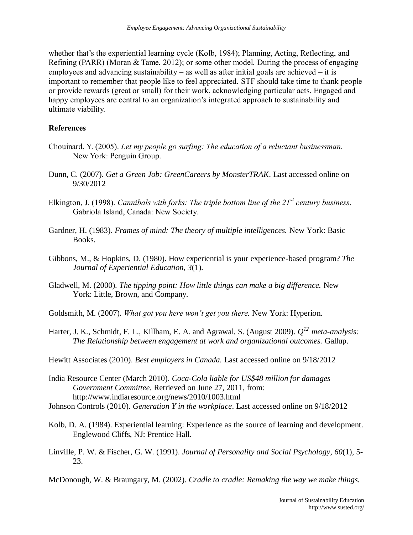whether that's the experiential learning cycle (Kolb, 1984); Planning, Acting, Reflecting, and Refining (PARR) (Moran & Tame, 2012); or some other model. During the process of engaging employees and advancing sustainability – as well as after initial goals are achieved – it is important to remember that people like to feel appreciated. STF should take time to thank people or provide rewards (great or small) for their work, acknowledging particular acts. Engaged and happy employees are central to an organization's integrated approach to sustainability and ultimate viability.

### **References**

- Chouinard, Y. (2005). *Let my people go surfing: The education of a reluctant businessman.* New York: Penguin Group.
- Dunn, C. (2007). *Get a Green Job: GreenCareers by MonsterTRAK*. Last accessed online on 9/30/2012
- Elkington, J. (1998). *Cannibals with forks: The triple bottom line of the 21st century business*. Gabriola Island, Canada: New Society.
- Gardner, H. (1983). *Frames of mind: The theory of multiple intelligences.* New York: Basic Books.
- Gibbons, M., & Hopkins, D. (1980). How experiential is your experience-based program? *The Journal of Experiential Education, 3*(1).
- Gladwell, M. (2000). *The tipping point: How little things can make a big difference.* New York: Little, Brown, and Company.
- Goldsmith, M. (2007). *What got you here won't get you there.* New York: Hyperion.
- Harter, J. K., Schmidt, F. L., Killham, E. A. and Agrawal, S. (August 2009). *Q <sup>12</sup>meta-analysis: The Relationship between engagement at work and organizational outcomes.* Gallup.
- Hewitt Associates (2010). *Best employers in Canada.* Last accessed online on 9/18/2012
- India Resource Center (March 2010). *Coca-Cola liable for US\$48 million for damages – Government Committee.* Retrieved on June 27, 2011, from: http://www.indiaresource.org/news/2010/1003.html
- Johnson Controls (2010). *Generation Y in the workplace*. Last accessed online on 9/18/2012
- Kolb, D. A. (1984). Experiential learning: Experience as the source of learning and development. Englewood Cliffs, NJ: Prentice Hall.
- Linville, P. W. & Fischer, G. W. (1991). *Journal of Personality and Social Psychology*, *60*(1), 5- 23.
- McDonough, W. & Braungary, M. (2002). *Cradle to cradle: Remaking the way we make things.*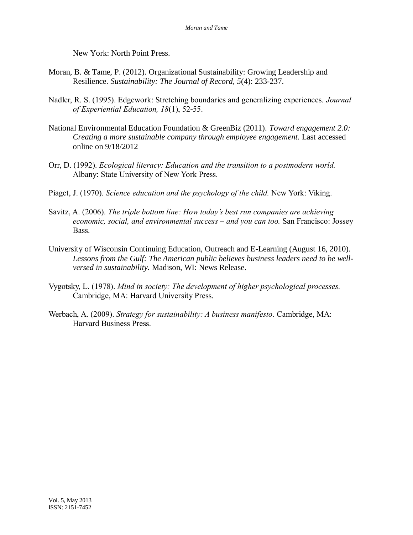New York: North Point Press.

- Moran, B. & Tame, P. (2012). Organizational Sustainability: Growing Leadership and Resilience. *Sustainability: The Journal of Record, 5*(4): 233-237.
- Nadler, R. S. (1995). Edgework: Stretching boundaries and generalizing experiences. *Journal of Experiential Education, 18*(1), 52-55.
- National Environmental Education Foundation & GreenBiz (2011). *Toward engagement 2.0: Creating a more sustainable company through employee engagement.* Last accessed online on 9/18/2012
- Orr, D. (1992). *Ecological literacy: Education and the transition to a postmodern world.* Albany: State University of New York Press.
- Piaget, J. (1970). *Science education and the psychology of the child.* New York: Viking.
- Savitz, A. (2006). *The triple bottom line: How today's best run companies are achieving economic, social, and environmental success – and you can too.* San Francisco: Jossey Bass.
- University of Wisconsin Continuing Education, Outreach and E-Learning (August 16, 2010). *Lessons from the Gulf: The American public believes business leaders need to be wellversed in sustainability.* Madison, WI: News Release.
- Vygotsky, L. (1978). *Mind in society: The development of higher psychological processes.* Cambridge, MA: Harvard University Press.
- Werbach, A. (2009). *Strategy for sustainability: A business manifesto*. Cambridge, MA: Harvard Business Press.